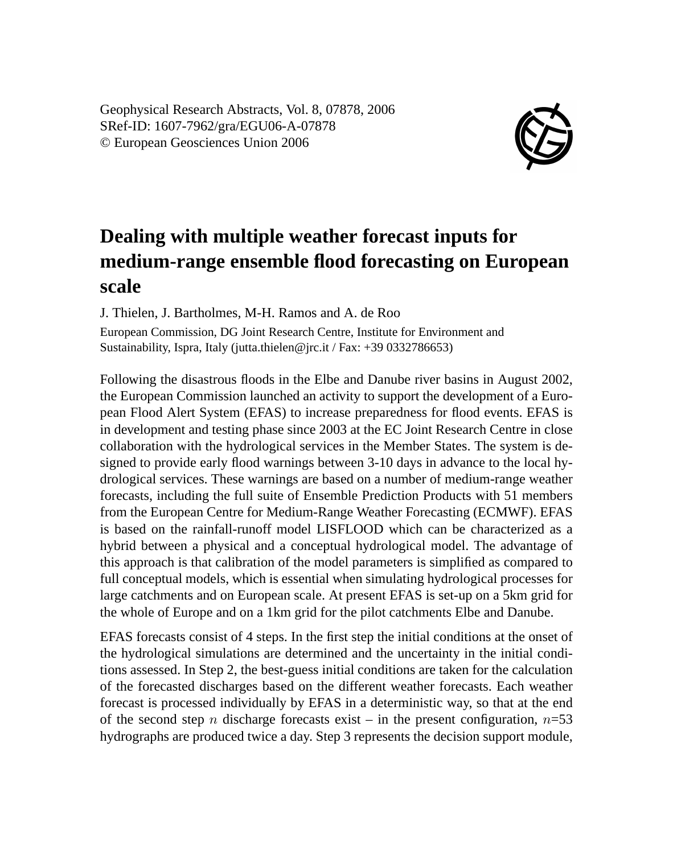Geophysical Research Abstracts, Vol. 8, 07878, 2006 SRef-ID: 1607-7962/gra/EGU06-A-07878 © European Geosciences Union 2006



## **Dealing with multiple weather forecast inputs for medium-range ensemble flood forecasting on European scale**

J. Thielen, J. Bartholmes, M-H. Ramos and A. de Roo

European Commission, DG Joint Research Centre, Institute for Environment and Sustainability, Ispra, Italy (jutta.thielen@jrc.it / Fax: +39 0332786653)

Following the disastrous floods in the Elbe and Danube river basins in August 2002, the European Commission launched an activity to support the development of a European Flood Alert System (EFAS) to increase preparedness for flood events. EFAS is in development and testing phase since 2003 at the EC Joint Research Centre in close collaboration with the hydrological services in the Member States. The system is designed to provide early flood warnings between 3-10 days in advance to the local hydrological services. These warnings are based on a number of medium-range weather forecasts, including the full suite of Ensemble Prediction Products with 51 members from the European Centre for Medium-Range Weather Forecasting (ECMWF). EFAS is based on the rainfall-runoff model LISFLOOD which can be characterized as a hybrid between a physical and a conceptual hydrological model. The advantage of this approach is that calibration of the model parameters is simplified as compared to full conceptual models, which is essential when simulating hydrological processes for large catchments and on European scale. At present EFAS is set-up on a 5km grid for the whole of Europe and on a 1km grid for the pilot catchments Elbe and Danube.

EFAS forecasts consist of 4 steps. In the first step the initial conditions at the onset of the hydrological simulations are determined and the uncertainty in the initial conditions assessed. In Step 2, the best-guess initial conditions are taken for the calculation of the forecasted discharges based on the different weather forecasts. Each weather forecast is processed individually by EFAS in a deterministic way, so that at the end of the second step n discharge forecasts exist – in the present configuration,  $n=53$ hydrographs are produced twice a day. Step 3 represents the decision support module,